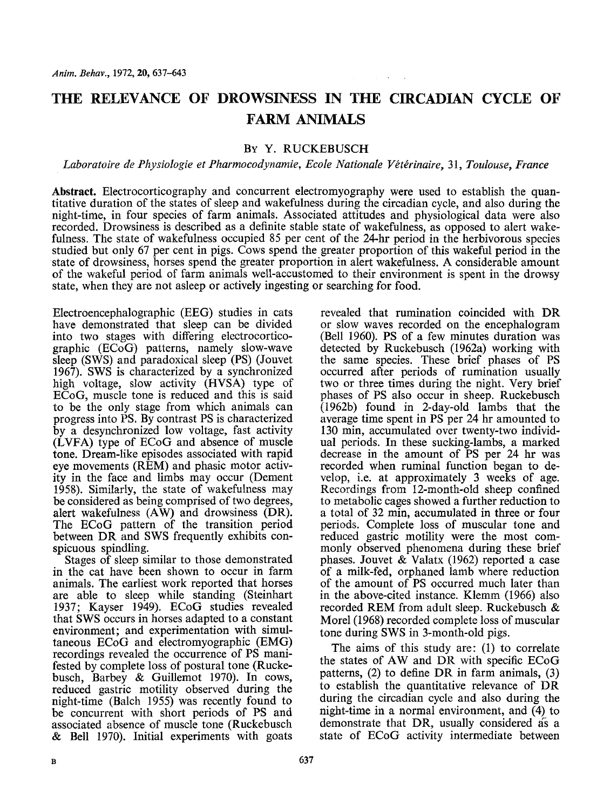# THE RELEVANCE OF DROWSINESS IN THE CIRCADIAN CYCLE OF FARM ANIMALS

## **BY Y.** RUCKEBUSCH

### Laboratoire de Physiologie et Pharmocodynamie, Ecole Nationale Vétérinaire, 31, Toulouse, France

Abstract. Electrocorticography and concurrent electromyography were used to establish the quantitative duration of the states of sleep and wakefulness during the circadian cycle, and also during the night-time, in four species of farm animals. Associated attitudes and physiological data were also recorded. Drowsiness is described as a definite stable state of wakefulness, as opposed to alert wakefulness. The state of wakefulness occupied 85 per cent of the 24-hr period in the herbivorous species studied but only 67 per cent in pigs. Cows spend the greater proportion of this wakeful period in the state of drowsiness, horses spend the greater proportion in alert wakefulness. A considerable amount of the wakeful period of farm animals well-accustomed to their environment is spent in the drowsy state, when they are not asleep or actively ingesting or searching for food.

Electroencephalographic (EEG) studies in cats have demonstrated that sleep can be divided into two stages with differing electrocorticographic (ECoG) patterns, namely slow-wave sleep (SWS) and paradoxical sleep (PS) (Jouvet 1967). SWS is characterized by a synchronized high voltage, slow activity (HVSA) type of ECoG, muscle tone is reduced and this is said to be the only stage from which animals can progress into PS. By contrast PS is characterized by a desynchronized low voltage, fast activity (LVFA) type of ECoG and absence of muscle tone. Dream-like episodes associated with rapid eye movements (REM) and phasic motor activity in the face and limbs may occur (Dement 1958). Similarly, the state of wakefulness may be considered as being comprised of two degrees, alert wakefulness (AW) and drowsiness (DR). The ECoG pattern of the transition period between DR and SWS frequently exhibits conspicuous spindling.

Stages of sleep similar to those demonstrated in the cat have been shown to occur in farm animals. The earliest work reported that horses are able to sleep while standing (Steinhart 1937; Kayser 1949). ECoG studies revealed that SWS occurs in horses adapted to a constant environment; and experimentation with simultaneous ECoG and electromyographic (EMG) recordings revealed the occurrence of PS manifested by complete loss of postural tone (Ruckebusch, Barbey & Guillemot 1970). In cows, reduced gastric motility observed during the night-time (Balch 1955) was recently found to be concurrent with short periods of PS and associated absence of muscle tone (Ruckebusch & Bell 1970). Initial experiments with goats

revealed that rumination coincided with DR or slow waves recorded on the encephalogram (Bell 1960). PS of a few minutes duration was detected by Ruckebusch (1962a) working with the same species. These brief phases of PS occurred after periods of rumination usually two or three times during the night. Very brief phases of PS also occur in sheep. Ruckebusch (1962b) found in 2-day-old lambs that the average time spent in PS per 24 hr amounted to 130 min, accumulated over twenty-two individual periods. In these sucking-lambs, a marked decrease in the amount of PS per 24 hr was recorded when ruminal function began to develop, i.e. at approximately 3 weeks of age. Recordings from 12-month-old sheep confined to metabolic cages showed a further reduction to a total of 32 min, accumulated in three or four periods. Complete loss of muscular tone and reduced gastric motility were the most commonly observed phenomena during these brief phases. Jouvet  $\&$  Valatx (1962) reported a case of a milk-fed, orphaned lamb where reduction of the amount of PS occurred much later than in the above-cited instance. Klemm (1966) also recorded REM from adult sleep. Ruckebusch & Morel (1968) recorded complete loss of muscular tone during SWS in 3-month-old pigs.

The aims of this study are: (1) to correlate the states of AW and DR with specific ECoG patterns, (2) to define DR in farm animals, (3) to establish the quantitative relevance of DR during the circadian cycle and also during the night-time in a normaI environment, and (4) to demonstrate that DR, usually considered as a state of ECoG activity intermediate between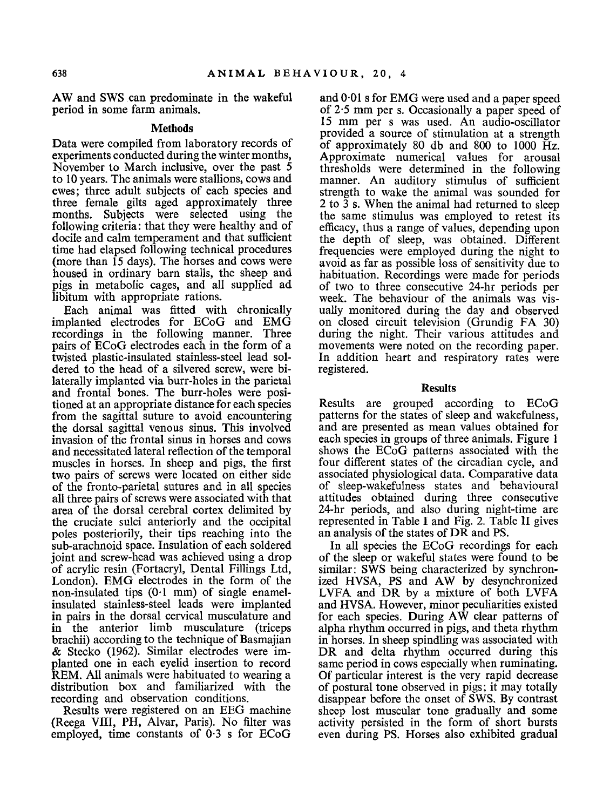AW and SWS can predominate in the wakeful period in some farm animals.

#### **Methods**

Data were compiled from laboratory records of experiments conducted during the winter months, November to March inclusive, over the past 5 to 10 years. The animals were stallions, cows and ewes; three adult subjects of each species and three female gilts aged approximately three months. Subjects were selected using the following criteria: that they were healthy and of docile and calm temperament and that sufficient time had elapsed following technical procedures (more than 15 days). The horses and cows were housed in ordinary barn stalls, the sheep and pigs in metabolic cages, and all supplied ad libitum with appropriate rations.

Each animal was fitted with chronically implanted electrodes for ECoG and EMG recordings in the following manner. Three pairs of ECoG electrodes each in the form of a twisted plastic-insulated stainless-steel lead soldered to the head of a silvered screw, were bilaterally implanted via burr-holes in the parietal and frontal bones. The burr-holes were positioned at an appropriate distance for each species from the sagittal suture to avoid encountering the dorsal sagittal venous sinus. This involved invasion of the frontal sinus in horses and cows and necessitated lateral reflection of the temporal muscles in horses. In sheep and pigs, the first two pairs of screws were located on either side of the fronto-parietal sutures and in all species all three pairs of screws were associated with that area of the dorsal cerebral cortex delimited by the cruciate sulci anteriorly and the occipital poles posteriorily, their tips reaching into the sub-arachnoid space. Insulation of each soldered joint and screw-head was achieved using a drop of acrylic resin (Fortacryl, Dental Fillings Ltd, London). EMG electrodes in the form of the non-insulated tips  $(0.1 \text{ mm})$  of single enamelinsulated stainless-steel leads were implanted in pairs in the dorsal cervical musculature and in the anterior limb musculature (triceps brachii) according to the technique of Basmajian & Stecko (1962). Similar electrodes were implanted one in each eyelid insertion to record REM. All animals were habituated to wearing a distribution box and familiarized with the recording and observation conditions.

Results were registered on an EEG machine (Reega VIII, PH, Alvar, Paris). No filter was employed, time constants of 0.3 s for ECoG

and 0-01 s for EMG were used and a paper speed of 2.5 mm per s. Occasionally a paper speed of 15 mm per s was used. An audio-oscillator provided a source of stimulation at a strength of approximately 80 db and 800 to 1000 Hz. Approximate numerical values for arousal thresholds were determined in the following manner. An auditory stimulus of sufficient strength to wake the animal was sounded for 2 to 3 s. When the animal had returned to sleep the same stimulus was employed to retest its efficacy, thus a range of values, depending upon the depth of sleep, was obtained. Different frequencies were employed during the night to avoid as far as possible loss of sensitivity due to habituation. Recordings were made for periods of two to three consecutive 24-hr periods per week. The behaviour of the animals was visually monitored during the day and observed on closed circuit television (Grundig FA 30) during the night. Their various attitudes and movements were noted on the recording paper. In addition heart and respiratory rates were registered.

## **Results**

Results are grouped according to ECoG patterns for the states of sleep and wakefulness, and are presented as mean values obtained for each species in groups of three animals. Figure 1 shows the ECoG patterns associated with the four different states of the circadian cycle, and associated physiological data. Comparative data of sleep-wakefulness states and behavioural attitudes obtained during three consecutive 24-hr periods, and also during night-time are represented in Table I and Fig. 2. Table II gives an analysis of the states of DR and PS.

In all species the ECoG recordings for each of the sleep or wakeful states were found to be similar: SWS being characterized by synchronized HVSA, PS and AW by desynchronized LVFA and DR by a mixture of both LVFA and HVSA. However, minor peculiarities existed for each species. During AW clear patterns of alpha rhythm occurred in pigs, and theta rhythm in horses. In sheep spindling was associated with DR and delta rhythm occurred during this same period in cows especially when ruminating. Of particular interest is the very rapid decrease of postural tone observed in pigs; it may totally disappear before the onset of SWS. By contrast sheep lost muscular tone gradually and some activity persisted in the form of short bursts even during PS. Horses also exhibited gradual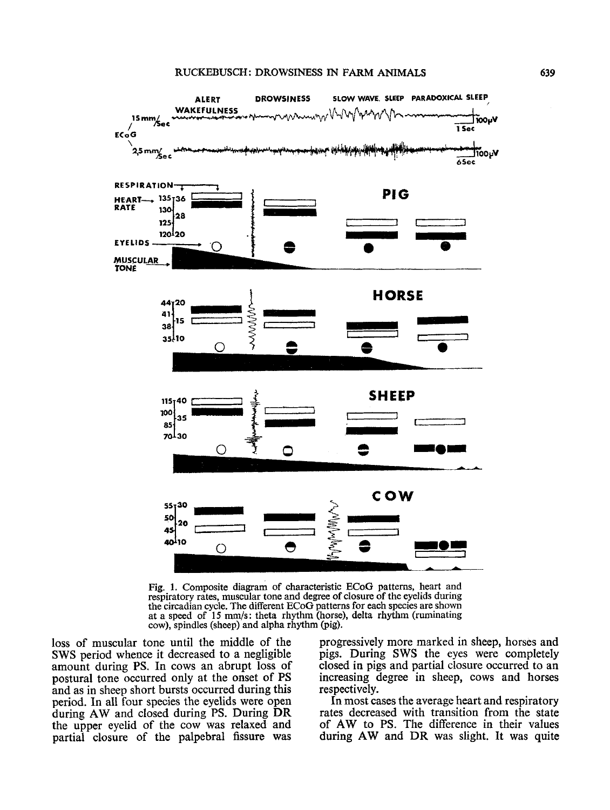

Fig. 1. Composite diagram of characteristic ECoG patterns, heart and respiratory rates, muscular tone and degree of closure of the eyelids during the circadian cycle. The different ECoG patterns for each species are shown at a speed of 15 mm/s: theta rhythm (horse), delta rhythm (ruminating cow), spindles (sheep) and alpha rhythm (pig).

loss of muscular tone until the middle of the SWS period whence it decreased to a negligible amount during PS. In cows an abrupt loss of postural tone occurred only at the onset of PS and as in sheep short bursts occurred during this period. In all four species the eyelids were open during AW and closed during PS. During DR the upper eyelid of the cow was relaxed and partial closure of the palpebral fissure was progressively more marked in sheep, horses and pigs. During SWS the eyes were completely closed in pigs and partial closure occurred to an increasing degree in sheep, cows and horses respectively.

In most cases the average heart and respiratory rates decreased with transition from the state of AW to PS. The difference in their values during AW and DR was slight. It was quite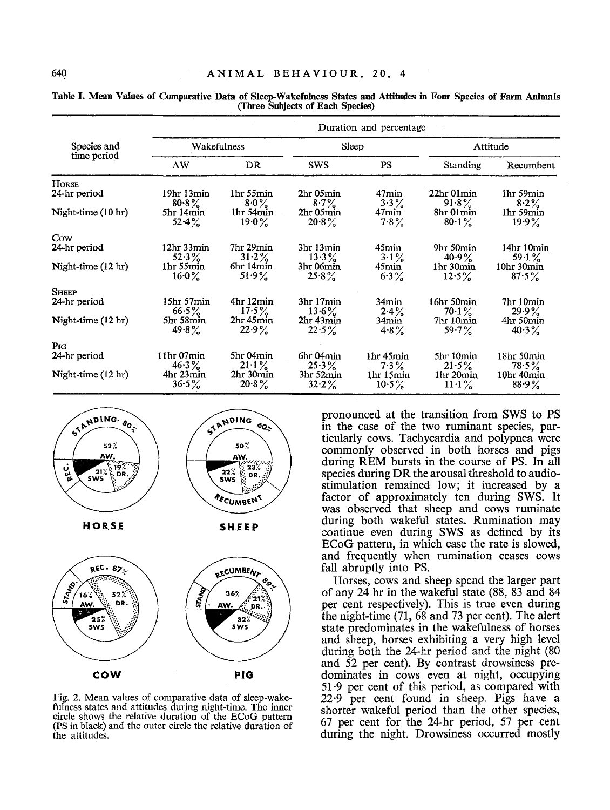|                            | Duration and percentage            |           |                                   |                                   |                                   |            |  |  |
|----------------------------|------------------------------------|-----------|-----------------------------------|-----------------------------------|-----------------------------------|------------|--|--|
| Species and<br>time period | Wakefulness                        |           | Sleep                             |                                   | Attitude                          |            |  |  |
|                            | AW                                 | DR.       | <b>SWS</b>                        | PS                                | <b>Standing</b>                   | Recumbent  |  |  |
| <b>HORSE</b>               |                                    |           |                                   |                                   |                                   |            |  |  |
| 24-hr period               | 19hr 13min                         | 1hr 55min | 2hr 05min                         | $47$ min                          | 22hr 01min                        | 1hr 59min  |  |  |
|                            | $80.8\%$                           | $8.0\%$   | 8.7%                              | $3.3\%$                           | $91.8\%$                          | $8.2\%$    |  |  |
| Night-time (10 hr)         | 5hr 14min                          | 1hr 54min | 2hr 05min                         | 47min                             | 8hr 01min                         | 1hr 59min  |  |  |
|                            | $52.4\%$                           | $19.0\%$  | $20.8\%$                          | $7.8\%$                           | $80.1\%$                          | $19.9\%$   |  |  |
| Cow                        |                                    |           |                                   |                                   |                                   |            |  |  |
| 24-hr period               | 12hr 33min                         | 7hr 29min | 3hr 13min                         | 45min                             | 9hr 50min                         | 14hr 10min |  |  |
|                            | $52.3\%$                           | $31.2\%$  | $13.3\%$                          | $3.1\%$                           | $40.9\%$                          | $59.1\%$   |  |  |
| Night-time (12 hr)         | 1hr 55min                          | 6hr 14min | 3hr 06min                         | 45min                             | 1hr 30min                         | 10hr 30min |  |  |
|                            | $16.0\%$                           | $51.9\%$  | $25.8\%$                          | $6.3\%$                           | $12.5\%$                          | 87.5%      |  |  |
| <b>SHEEP</b>               |                                    |           |                                   |                                   |                                   |            |  |  |
| 24-hr period               | 15 <sup>hr</sup> 57 <sup>min</sup> | 4hr 12min | 3hr 17min                         | 34min                             | 16hr 50min                        | 7hr 10min  |  |  |
|                            | $66.5\%$                           | $17.5\%$  | $13.6\%$                          | $2.4\%$                           | $70.1\%$                          | $29.9\%$   |  |  |
| Night-time (12 hr)         | 5hr 58min                          | 2hr 45min | 2hr 43min                         | 34min.                            | 7hr 10min                         | 4hr 50min  |  |  |
|                            | $49.8\%$                           | $22.9\%$  | 22.5%                             | $4.8\%$                           | $59.7\%$                          | $40.3\%$   |  |  |
| Pig                        |                                    |           |                                   |                                   |                                   |            |  |  |
| 24-hr period               | 11 <sub>hr</sub> 07 <sub>min</sub> | 5hr 04min | 6hr 04min                         | 1hr 45min                         | 5hr 10min                         | 18hr 50min |  |  |
|                            | $46.3\%$                           | $21.1\%$  | 25.3%                             | $7.3\%$                           | $21.5\%$                          | $78.5\%$   |  |  |
| Night-time (12 hr)         | 4hr 23min                          | 2hr 30min | 3 <sub>hr</sub> 52 <sub>min</sub> | 1 <sup>hr</sup> 15 <sup>min</sup> | 1 <sub>hr</sub> 20 <sub>min</sub> | 10hr 40min |  |  |
|                            | 36.5%                              | $20.8\%$  | $32.2\%$                          | $10.5\%$                          | $11 \cdot 1 \%$                   | $88.9\%$   |  |  |

Table I. Mean Values of Comparative Data of Sleep-Wakefulness States and Attitudes in Four Species of Farm Animals (Three Subjects of Each Species)

STANDING STANDING 80:  $\sigma_{Q}$ **)**   $52%$ 50% AW **AW.**<br>22% 23%<br>SWS PR. ان<br>پیا 91°, DR **SWS SWS** ز.<br>من **PECUMBENT HORSE SHEEP**  REC. 87. **RECUMBENT 1992 15.48** 16%  $52%$  $36%$ 



COW **PIG** 

Fig. 2. Mean values of comparative data of sleep-wakefulness states and attitudes during night-time. The inner circle shows the relative duration of the ECoG pattern (PS in black) and the outer circle the relative duration of the attitudes.

pronounced at the transition from SWS to PS in the, case of the two ruminant species, particularly cows. Tachycardia and polypnea were commonly observed in both horses and pigs during REM bursts in the course of PS. In all species during DR the arousal threshold to audiostimulation remained low; it increased by a factor of approximately ten during SWS. It was observed that sheep and cows ruminate during both wakeful states. Rumination may continue even during SWS as defined by its ECoG pattern, in which case the rate is slowed, and frequently when rumination ceases cows fall abruptly into PS.

Horses, cows and sheep spend the larger part of any 24 hr in the wakeful state (88, 83 and 84 per cent respectively). This is true even during the night-time (71, 68 and 73 per cent). The alert state predominates in the wakefulness of horses and sheep, horses exhibiting a very high level during both the 24-hr period and the night (80 and 52 per cent). By contrast drowsiness predominates in cows even at night, occupying 51-9 per cent of this period, as compared with 22.9 per cent found in sheep. Pigs have a shorter wakeful period than the other species, 67 per cent for the 24-hr period, 57 per cent during the night. Drowsiness occurred mostly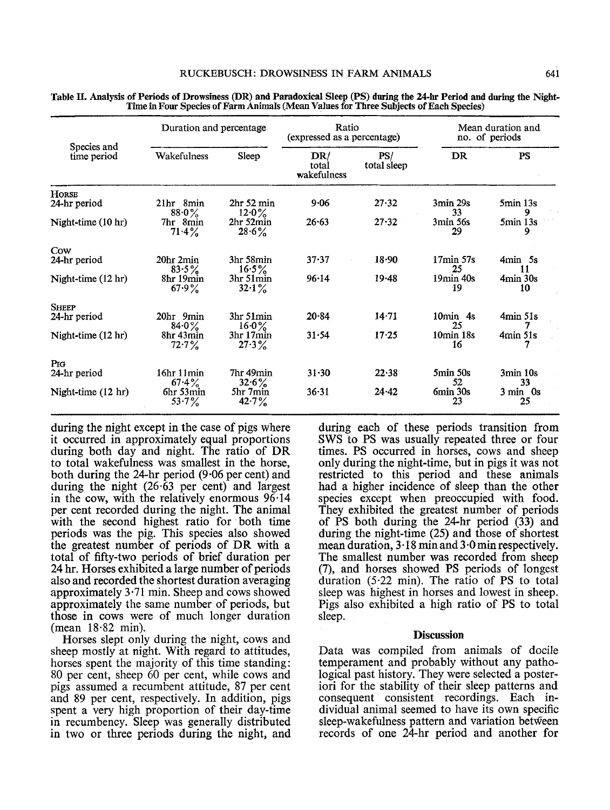| Species and<br>time period | Duration and percentage |                                    | Ratio<br>(expressed as a percentage) |                    | Mean duration and<br>no. of periods    |                                       |
|----------------------------|-------------------------|------------------------------------|--------------------------------------|--------------------|----------------------------------------|---------------------------------------|
|                            | Wakefulness             | Sleep                              | DR/<br>total<br>wakefulness          | PS/<br>total sleep | <b>DR</b>                              | <b>PS</b>                             |
| HORSE                      |                         |                                    |                                      |                    |                                        |                                       |
| 24-hr period               | 21hr 8min<br>$88.0\%$   | 2 <sup>hr</sup> 52 min<br>$12.0\%$ | 9.06                                 | $27 - 32$          | 3 <sub>min</sub> 29 <sub>s</sub><br>33 | 5min 13s<br>9                         |
| Night-time (10 hr)         | 7hr 8min<br>71.4%       | 2hr 52min<br>28.6%                 | 26.63                                | 27.32              | 3min 56s<br>29                         | 5 <sub>min</sub> 13 <sub>s</sub><br>9 |
| Cow                        |                         |                                    |                                      |                    |                                        |                                       |
| 24-hr period               | 20hr 2min<br>83.5%      | 3hr 58min<br>$16.5\%$              | $37 - 37$                            | $18 - 90$          | 17min 57s<br>25                        | 4 <sub>min</sub> 5 <sub>s</sub><br>11 |
| Night-time (12 hr)         | 8hr 19min<br>$67.9\%$   | 3hr 51min<br>$32.1\%$              | 96.14                                | $19 - 48$          | 19min 40s<br>-19                       | $4min$ 30s<br>10                      |
| <b>SHEEP</b>               |                         |                                    |                                      |                    |                                        |                                       |
| 24-hr period               | 20hr 9min<br>$84.0\%$   | 3hr 51min<br>$16.0\%$              | 20.84                                | $14 - 71$          | $10min$ 4s<br>25                       | $4min\ 51s$                           |
| Night-time (12 hr)         | 8hr 43min<br>$72.7\%$   | 3hr 17min<br>27.3%                 | 31.54                                | $17 - 25$          | 10min 18s<br>16                        | 4min 51s                              |
| PIG                        |                         |                                    |                                      |                    |                                        |                                       |
| 24-hr period               | 16hr 11min<br>$67.4\%$  | 7hr 49min<br>$32.6\%$              | 31.30                                | 22.38              | 5min 50s<br>52                         | 3min 10s<br>33                        |
| Night-time (12 hr)         | 6hr 53min<br>53.7%      | 5hr 7min<br>42.7%                  | 36.31                                | $24 - 42$          | 6min 30s<br>23                         | $3 \text{ min}$ 0s<br>25              |

**Table** II. Analysis **of Periods of Drowsiness (DR) and Paradoxical Sleep (PS) daring the** 24-hr Period and daring the Night-Time in Four **Species of** Farm Animals (Mean Values **for Three Subjects of** Each Species)

during the night except in the case of pigs where it occurred in approximately equal proportions during both day and night. The ratio of DR to total wakefulness was smallest in the horse, both during the 24-hr period (9.06 per cent) and during the night  $(26.63 \text{ per cent})$  and largest in the cow, with the relatively enormous 96.14 per cent recorded during the night. The animal with the second highest ratio for both time periods was the pig. This species also showed the greatest number of periods of DR with a total of fifty-two periods of brief duration per 24 hr. Horses exhibited a large number of periods also and recorded the shortest duration averaging approximately 3.71 min. Sheep and cows showed approximately the same number of periods, but those in cows were of much longer duration (mean  $18.82$  min).

Horses slept only during the night, cows and sheep mostly at night. With regard to attitudes, horses spent the majority of this time standing: 80 per cent, sheep 60 per cent, while cows and pigs assumed a recumbent attitude, 87 per cent and 89 per cent, respectively. In addition, pigs spent a very high proportion of their day-time in recumbency. Sleep was generally distributed in two or three periods during the night, and

during each of these periods transition from SWS to PS was usually repeated three or four times. PS occurred in horses, cows and sheep only during the night-time, but in pigs it was not restricted to this period and these animals had a higher incidence of sleep than the other species except when preoccupied with food. They exhibited the greatest number of periods of PS both during the 24-hr period (33) and during the night-time (25) and those of shortest mean duration, 3.18 min and 3-0 min respectively. The smallest number was recorded from sheep (7), and horses showed PS periods of longest duration (5-22 min). The ratio of PS to total sleep was highest in horses and lowest in sheep. Pigs also exhibited a high ratio of PS to total sleep.

#### **Discussion**

Data was compiled from animals of docile temperament and probably without any pathological past history. They were selected a posteriori for the stability of their sleep patterns and consequent consistent recordings. Each individual animal seemed to have its own specific sleep-wakefulness pattern and variation between records of one 24-hr period and another for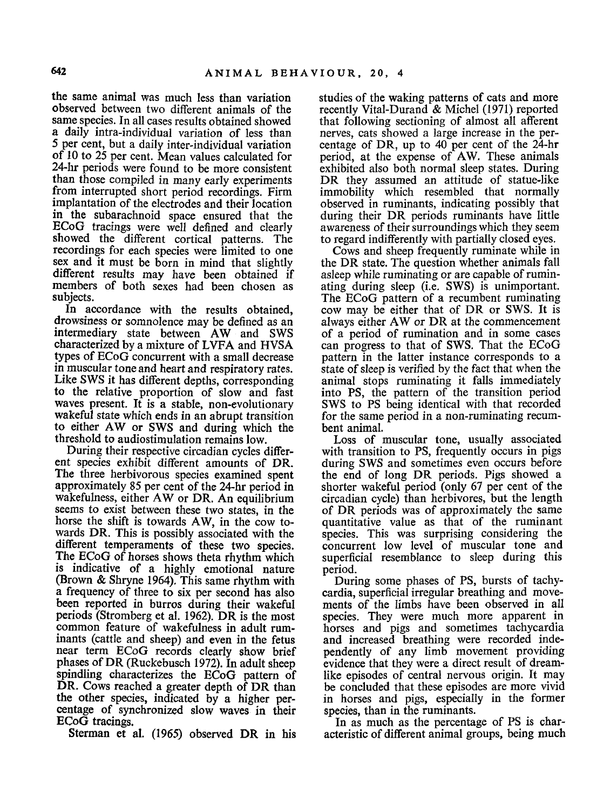the same animal was much less than variation observed between two different animals of the same species. In all cases results obtained showed a daily intra-individual variation of less than 5 per cent, but a daily inter-individual variation of 10 to 25 per cent. Mean values calculated for 24-hr periods were found to be more consistent than those compiled in many early experiments from interrupted short period recordings. Firm implantation of the electrodes and their location in the subarachnoid space ensured that the ECoG tracings were well defined and clearly showed the different cortical patterns. The recordings for each species were limited to one sex and it must be born in mind that slightly different results may have been obtained if members of both sexes had been chosen as subjects.

In accordance with the results obtained, drowsiness or somnolence may be defined as an intermediary state between AW and SWS characterized by a mixture of LVFA and HVSA types of ECoG concurrent with a small decrease in muscular tone and heart and respiratory rates. Like SWS it has different depths, corresponding to the relative proportion of slow and fast waves present. It is a stable, non-evolutionary wakeful state which ends in an abrupt transition to either AW or SWS and during which the threshold to audiostimulation remains low.

During their respective circadian cycles different species exhibit different amounts of DR. The three herbivorous species examined spent approximately 85 per cent of the 24-hr period in wakefulness, either AW or DR. An equilibrium seems to exist between these two states, in the horse the shift is towards AW, in the cow towards DR. This is possibly associated with the different temperaments of these two species. The ECoG of horses shows theta rhythm which is indicative of a highly emotional nature (Brown & Shryne 1964). This same rhythm with a frequency of three to six per second has also been reported in burros during their wakeful periods (Stromberg et al. 1962). DR is the most common feature of wakefulness in adult ruminants (cattle and sheep) and even in the fetus near term ECoG records clearly show brief phases of DR (Ruckebusch 1972). In adult sheep spindling characterizes the ECoG pattern of DR. Cows reached a greater depth of DR than the other species, indicated by a higher pereentage of synchronized slow waves in their ECoG tracings.

Sterman et al. (1965) observed DR in his

studies of the waking patterns of cats and more recently Vital-Durand & Michel (1971) reported that following sectioning of almost all afferent nerves, cats showed a large increase in the percentage of DR, up to 40 per cent of the 24-hr period, at the expense of AW. These animals exhibited also both normal sleep states. During DR they assumed an attitude of statue-like immobility which resembled that normally observed in ruminants, indicating possibly that during their DR periods ruminants have little awareness of their surroundings which they seem to regard indifferently with partially closed eyes.

Cows and sheep frequently ruminate while in the DR state. The question whether animals fall asleep while ruminating or are capable of ruminating during sleep (i.e. SWS) is unimportant. The ECoG pattern of a recumbent ruminating cow may be either that of DR or SWS. It is always either AW or DR at the commencement of a period of rumination and in some cases can progress to that of SWS. That the ECoG pattern in the latter instance corresponds to a state of sleep is verified by the fact that when the animal stops ruminating it falls immediately into PS, the pattern of the transition period SWS to PS being identical with that recorded for the same period in a non-ruminating recumbent animal.

Loss of muscular tone, usually associated with transition to PS, frequently occurs in pigs during SWS and sometimes even occurs before the end of long DR periods. Pigs showed a shorter wakeful period (only 67 per cent of the circadian cycle) than herbivores, but the length of DR periods was of approximately the same quantitative value as that of the ruminant species. This was surprising considering the concurrent low level of muscular tone and superficial resemblance to sleep during this period.

During some phases of PS, bursts of tachycardia, superficial irregular breathing and movemeats of the limbs have been observed in all species. They were much more apparent in horses and pigs and sometimes tachycardia and increased breathing were recorded independently of any limb movement providing evidence that they were a direct result of dreamlike episodes of central nervous origin. It may be concluded that these episodes are more vivid in horses and pigs, especially in the former species, than in the ruminants.

In as much as the percentage of PS is characteristic of different animal groups, being much